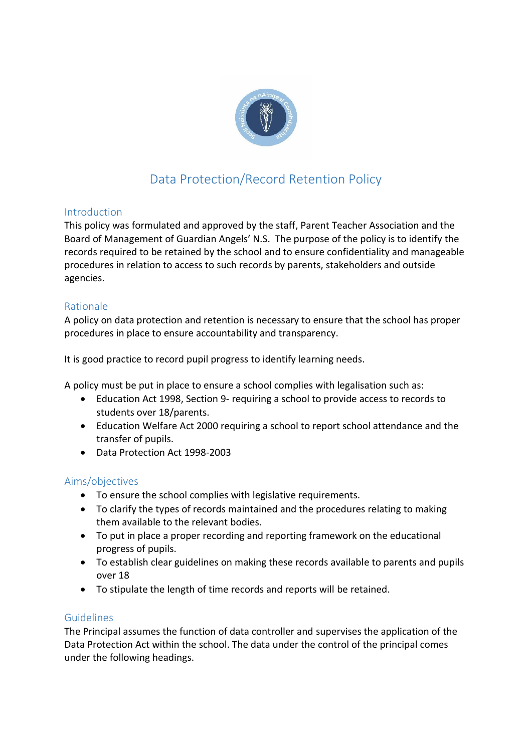

# Data Protection/Record Retention Policy

## Introduction

This policy was formulated and approved by the staff, Parent Teacher Association and the Board of Management of Guardian Angels' N.S. The purpose of the policy is to identify the records required to be retained by the school and to ensure confidentiality and manageable procedures in relation to access to such records by parents, stakeholders and outside agencies.

# Rationale

A policy on data protection and retention is necessary to ensure that the school has proper procedures in place to ensure accountability and transparency.

It is good practice to record pupil progress to identify learning needs.

A policy must be put in place to ensure a school complies with legalisation such as:

- Education Act 1998, Section 9- requiring a school to provide access to records to students over 18/parents.
- Education Welfare Act 2000 requiring a school to report school attendance and the transfer of pupils.
- Data Protection Act 1998-2003

## Aims/objectives

- To ensure the school complies with legislative requirements.
- To clarify the types of records maintained and the procedures relating to making them available to the relevant bodies.
- To put in place a proper recording and reporting framework on the educational progress of pupils.
- To establish clear guidelines on making these records available to parents and pupils over 18
- To stipulate the length of time records and reports will be retained.

## Guidelines

The Principal assumes the function of data controller and supervises the application of the Data Protection Act within the school. The data under the control of the principal comes under the following headings.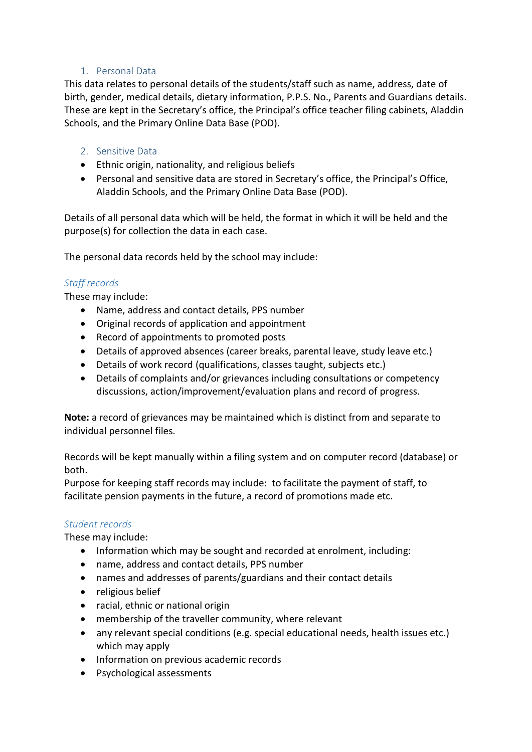## 1. Personal Data

This data relates to personal details of the students/staff such as name, address, date of birth, gender, medical details, dietary information, P.P.S. No., Parents and Guardians details. These are kept in the Secretary's office, the Principal's office teacher filing cabinets, Aladdin Schools, and the Primary Online Data Base (POD).

#### 2. Sensitive Data

- Ethnic origin, nationality, and religious beliefs
- Personal and sensitive data are stored in Secretary's office, the Principal's Office, Aladdin Schools, and the Primary Online Data Base (POD).

Details of all personal data which will be held, the format in which it will be held and the purpose(s) for collection the data in each case.

The personal data records held by the school may include:

## *Staff records*

These may include:

- Name, address and contact details, PPS number
- Original records of application and appointment
- Record of appointments to promoted posts
- Details of approved absences (career breaks, parental leave, study leave etc.)
- Details of work record (qualifications, classes taught, subjects etc.)
- Details of complaints and/or grievances including consultations or competency discussions, action/improvement/evaluation plans and record of progress.

**Note:** a record of grievances may be maintained which is distinct from and separate to individual personnel files.

Records will be kept manually within a filing system and on computer record (database) or both.

Purpose for keeping staff records may include: to facilitate the payment of staff, to facilitate pension payments in the future, a record of promotions made etc.

#### *Student records*

These may include:

- Information which may be sought and recorded at enrolment, including:
- name, address and contact details, PPS number
- names and addresses of parents/guardians and their contact details
- religious belief
- racial, ethnic or national origin
- membership of the traveller community, where relevant
- any relevant special conditions (e.g. special educational needs, health issues etc.) which may apply
- Information on previous academic records
- Psychological assessments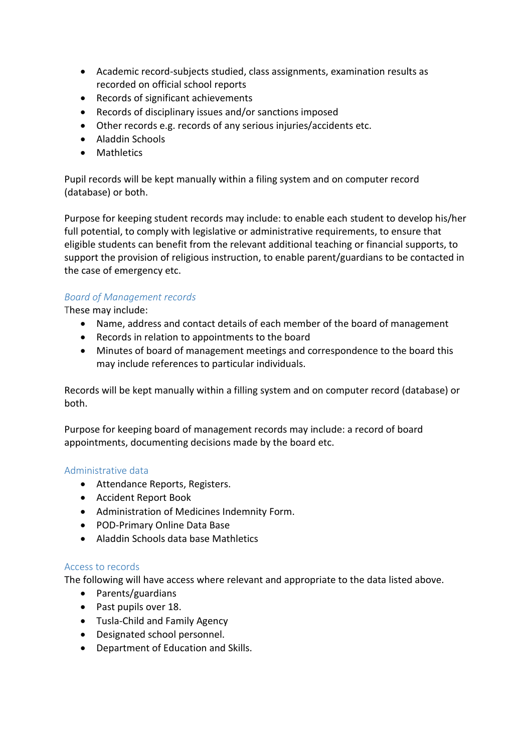- Academic record-subjects studied, class assignments, examination results as recorded on official school reports
- Records of significant achievements
- Records of disciplinary issues and/or sanctions imposed
- Other records e.g. records of any serious injuries/accidents etc.
- Aladdin Schools
- Mathletics

Pupil records will be kept manually within a filing system and on computer record (database) or both.

Purpose for keeping student records may include: to enable each student to develop his/her full potential, to comply with legislative or administrative requirements, to ensure that eligible students can benefit from the relevant additional teaching or financial supports, to support the provision of religious instruction, to enable parent/guardians to be contacted in the case of emergency etc.

#### *Board of Management records*

These may include:

- Name, address and contact details of each member of the board of management
- Records in relation to appointments to the board
- Minutes of board of management meetings and correspondence to the board this may include references to particular individuals.

Records will be kept manually within a filling system and on computer record (database) or both.

Purpose for keeping board of management records may include: a record of board appointments, documenting decisions made by the board etc.

#### Administrative data

- Attendance Reports, Registers.
- Accident Report Book
- Administration of Medicines Indemnity Form.
- POD-Primary Online Data Base
- Aladdin Schools data base Mathletics

#### Access to records

The following will have access where relevant and appropriate to the data listed above.

- Parents/guardians
- Past pupils over 18.
- Tusla-Child and Family Agency
- Designated school personnel.
- Department of Education and Skills.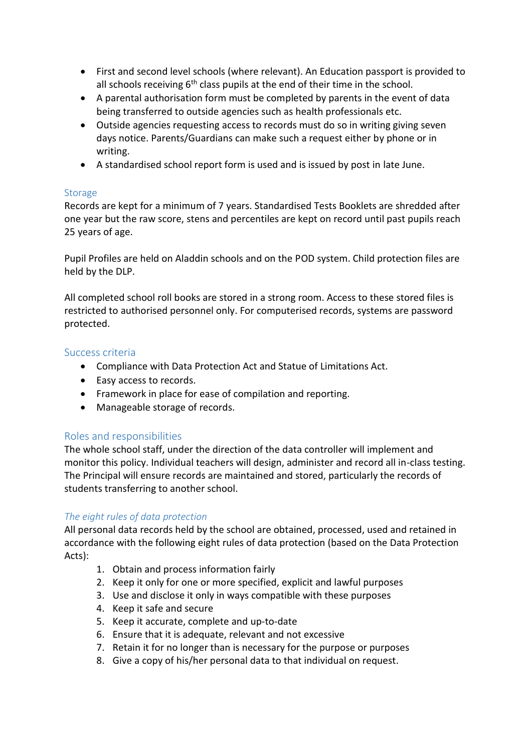- First and second level schools (where relevant). An Education passport is provided to all schools receiving  $6<sup>th</sup>$  class pupils at the end of their time in the school.
- A parental authorisation form must be completed by parents in the event of data being transferred to outside agencies such as health professionals etc.
- Outside agencies requesting access to records must do so in writing giving seven days notice. Parents/Guardians can make such a request either by phone or in writing.
- A standardised school report form is used and is issued by post in late June.

## Storage

Records are kept for a minimum of 7 years. Standardised Tests Booklets are shredded after one year but the raw score, stens and percentiles are kept on record until past pupils reach 25 years of age.

Pupil Profiles are held on Aladdin schools and on the POD system. Child protection files are held by the DLP.

All completed school roll books are stored in a strong room. Access to these stored files is restricted to authorised personnel only. For computerised records, systems are password protected.

#### Success criteria

- Compliance with Data Protection Act and Statue of Limitations Act.
- Easy access to records.
- Framework in place for ease of compilation and reporting.
- Manageable storage of records.

## Roles and responsibilities

The whole school staff, under the direction of the data controller will implement and monitor this policy. Individual teachers will design, administer and record all in-class testing. The Principal will ensure records are maintained and stored, particularly the records of students transferring to another school.

## *The eight rules of data protection*

All personal data records held by the school are obtained, processed, used and retained in accordance with the following eight rules of data protection (based on the Data Protection Acts):

- 1. Obtain and process information fairly
- 2. Keep it only for one or more specified, explicit and lawful purposes
- 3. Use and disclose it only in ways compatible with these purposes
- 4. Keep it safe and secure
- 5. Keep it accurate, complete and up-to-date
- 6. Ensure that it is adequate, relevant and not excessive
- 7. Retain it for no longer than is necessary for the purpose or purposes
- 8. Give a copy of his/her personal data to that individual on request.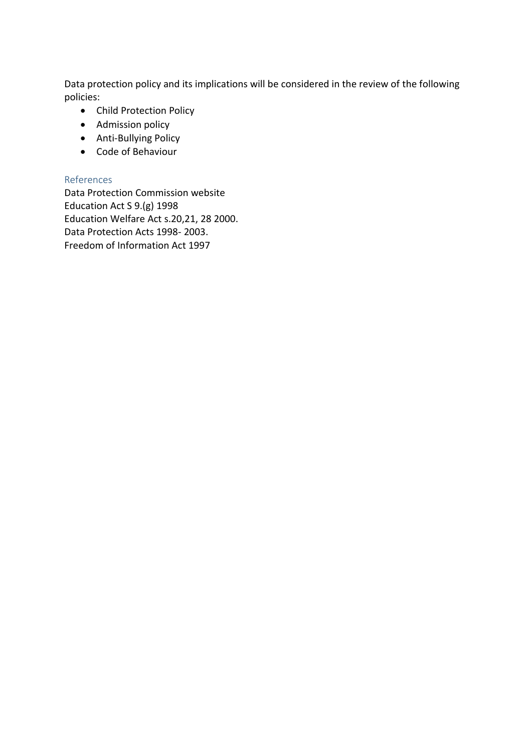Data protection policy and its implications will be considered in the review of the following policies:

- Child Protection Policy
- Admission policy
- Anti-Bullying Policy
- Code of Behaviour

#### References

Data Protection Commission website Education Act S 9.(g) 1998 Education Welfare Act s.20,21, 28 2000. Data Protection Acts 1998- 2003. Freedom of Information Act 1997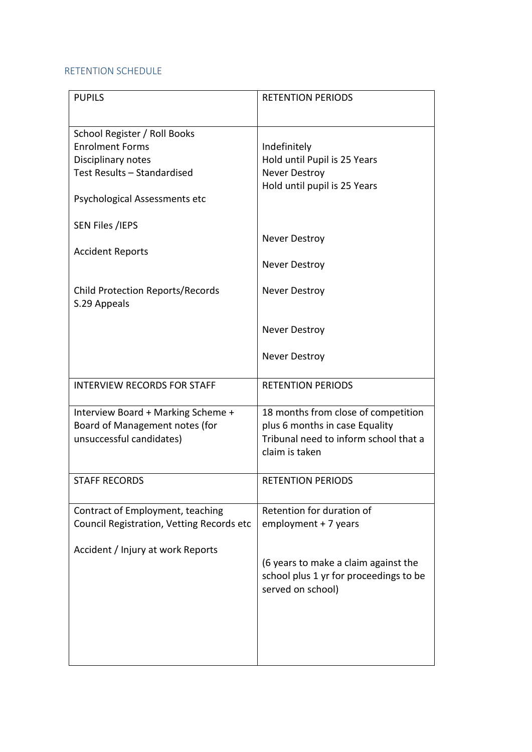#### RETENTION SCHEDULE

| <b>PUPILS</b>                                                                                                                                | <b>RETENTION PERIODS</b>                                                                                                         |
|----------------------------------------------------------------------------------------------------------------------------------------------|----------------------------------------------------------------------------------------------------------------------------------|
| School Register / Roll Books<br><b>Enrolment Forms</b><br>Disciplinary notes<br>Test Results - Standardised<br>Psychological Assessments etc | Indefinitely<br>Hold until Pupil is 25 Years<br><b>Never Destroy</b><br>Hold until pupil is 25 Years                             |
| <b>SEN Files /IEPS</b><br><b>Accident Reports</b>                                                                                            | Never Destroy                                                                                                                    |
|                                                                                                                                              | <b>Never Destroy</b>                                                                                                             |
| <b>Child Protection Reports/Records</b><br>S.29 Appeals                                                                                      | <b>Never Destroy</b>                                                                                                             |
|                                                                                                                                              | <b>Never Destroy</b>                                                                                                             |
|                                                                                                                                              | <b>Never Destroy</b>                                                                                                             |
| <b>INTERVIEW RECORDS FOR STAFF</b>                                                                                                           | <b>RETENTION PERIODS</b>                                                                                                         |
| Interview Board + Marking Scheme +<br>Board of Management notes (for<br>unsuccessful candidates)                                             | 18 months from close of competition<br>plus 6 months in case Equality<br>Tribunal need to inform school that a<br>claim is taken |
| <b>STAFF RECORDS</b>                                                                                                                         | <b>RETENTION PERIODS</b>                                                                                                         |
| Contract of Employment, teaching<br>Council Registration, Vetting Records etc                                                                | Retention for duration of<br>employment + 7 years                                                                                |
| Accident / Injury at work Reports                                                                                                            | (6 years to make a claim against the<br>school plus 1 yr for proceedings to be<br>served on school)                              |